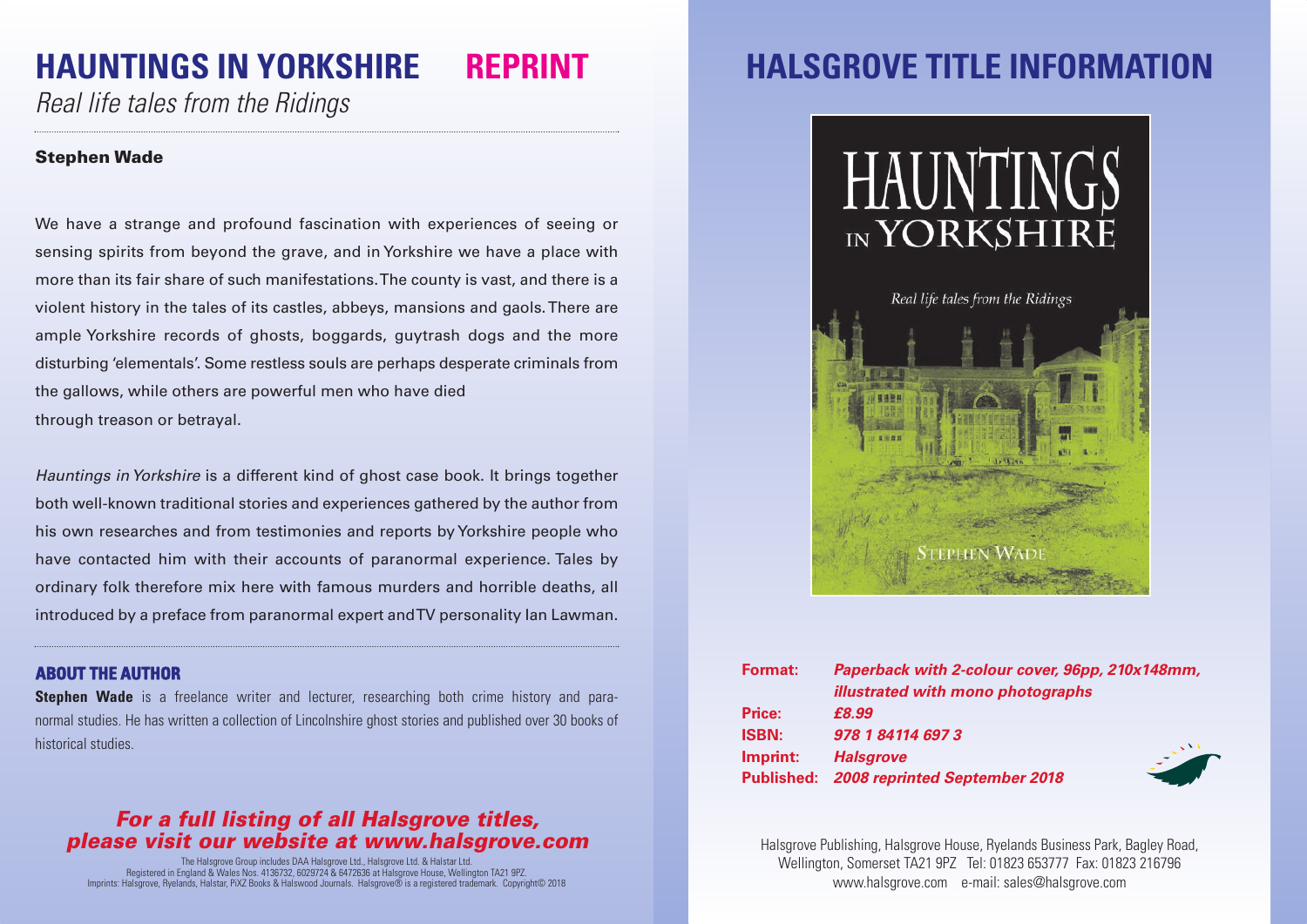# **HAUNTINGS IN YORKSHIRE REPRINT**

*Real life tales from the Ridings*

### **Stephen Wade**

We have a strange and profound fascination with experiences of seeing or sensing spirits from beyond the grave, and in Yorkshire we have a place with more than its fair share of such manifestations.The county is vast, and there is a violent history in the tales of its castles, abbeys, mansions and gaols.There are ample Yorkshire records of ghosts, boggards, guytrash dogs and the more disturbing 'elementals'. Some restless souls are perhaps desperate criminals from the gallows, while others are powerful men who have died through treason or betrayal.

*Hauntings inYorkshire* is a different kind of ghost case book. It brings together both well-known traditional stories and experiences gathered by the author from his own researches and from testimonies and reports byYorkshire people who have contacted him with their accounts of paranormal experience. Tales by ordinary folk therefore mix here with famous murders and horrible deaths, all introduced by a preface from paranormal expert andTV personality Ian Lawman.

#### **ABOUT THE AUTHOR**

**Stephen Wade** is a freelance writer and lecturer, researching both crime history and paranormal studies. He has written a collection of Lincolnshire ghost stories and published over 30 books of historical studies.

### *For a full listing of all Halsgrove titles, please visit our website at www.halsgrove.com*

The Halsgrove Group includes DAA Halsgrove Ltd., Halsgrove Ltd. & Halstar Ltd. Registered in England & Wales Nos. 4136732, 6029724 & 6472636 at Halsgrove House, Wellington TA21 9PZ. Imprints: Halsgrove, Ryelands, Halstar, PiXZ Books & Halswood Journals. Halsgrove® is a registered trademark. Copyright© 2018

### **HALSGROVE TITLE INFORMATI**



| <b>Format:</b> | Paperback with 2-colour cover, 96pp, 210x148mm, |
|----------------|-------------------------------------------------|
|                | illustrated with mono photographs               |
| Price:         | £8.99                                           |
| <b>ISBN:</b>   | 978 1 84114 697 3                               |
| Imprint:       | <b>Halsgrove</b>                                |
|                | Published: 2008 reprinted September 2018        |

Halsgrove Publishing, Halsgrove House, Ryelands Business Park, Bagley Road, Wellington, Somerset TA21 9PZ Tel: 01823 653777 Fax: 01823 216796 www.halsgrove.com e-mail: sales@halsgrove.com